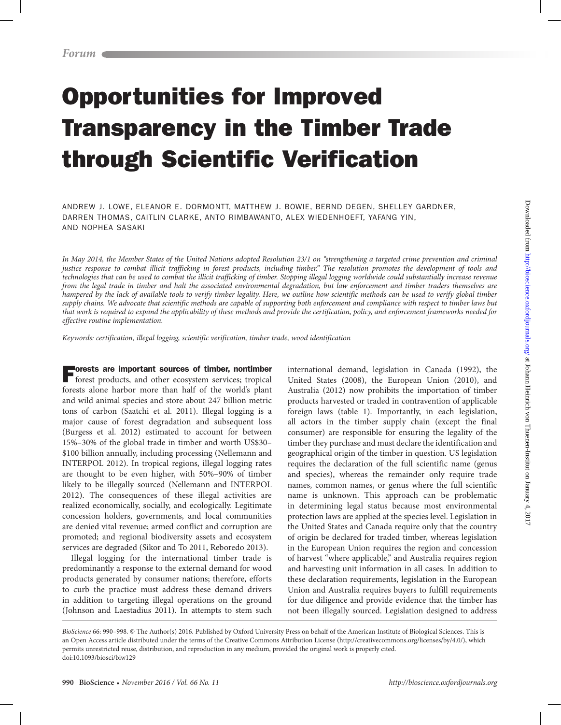# Opportunities for Improved Transparency in the Timber Trade through Scientific Verification

ANDREW J. LOWE, ELEANOR E. DORMONTT, MATTHEW J. BOWIE, BERND DEGEN, SHELLEY GARDNER, DARREN THOMAS, CAITLIN CLARKE, ANTO RIMBAWANTO, ALEX WIEDENHOEFT, YAFANG YIN, AND NOPHEA SASAKI

*In May 2014, the Member States of the United Nations adopted Resolution 23/1 on "strengthening a targeted crime prevention and criminal justice response to combat illicit trafficking in forest products, including timber." The resolution promotes the development of tools and*  technologies that can be used to combat the illicit trafficking of timber. Stopping illegal logging worldwide could substantially increase revenue *from the legal trade in timber and halt the associated environmental degradation, but law enforcement and timber traders themselves are hampered by the lack of available tools to verify timber legality. Here, we outline how scientific methods can be used to verify global timber supply chains. We advocate that scientific methods are capable of supporting both enforcement and compliance with respect to timber laws but that work is required to expand the applicability of these methods and provide the certification, policy, and enforcement frameworks needed for effective routine implementation.*

*Keywords: certification, illegal logging, scientific verification, timber trade, wood identification*

Forests are important sources of timber, nontimber forest products, and other ecosystem services; tropical forests alone harbor more than half of the world's plant and wild animal species and store about 247 billion metric tons of carbon (Saatchi et al. 2011). Illegal logging is a major cause of forest degradation and subsequent loss (Burgess et al. 2012) estimated to account for between 15%–30% of the global trade in timber and worth US\$30– \$100 billion annually, including processing (Nellemann and INTERPOL 2012). In tropical regions, illegal logging rates are thought to be even higher, with 50%–90% of timber likely to be illegally sourced (Nellemann and INTERPOL 2012). The consequences of these illegal activities are realized economically, socially, and ecologically. Legitimate concession holders, governments, and local communities are denied vital revenue; armed conflict and corruption are promoted; and regional biodiversity assets and ecosystem services are degraded (Sikor and To 2011, Reboredo 2013).

Illegal logging for the international timber trade is predominantly a response to the external demand for wood products generated by consumer nations; therefore, efforts to curb the practice must address these demand drivers in addition to targeting illegal operations on the ground (Johnson and Laestadius 2011). In attempts to stem such

international demand, legislation in Canada (1992), the United States (2008), the European Union (2010), and Australia (2012) now prohibits the importation of timber products harvested or traded in contravention of applicable foreign laws (table 1). Importantly, in each legislation, all actors in the timber supply chain (except the final consumer) are responsible for ensuring the legality of the timber they purchase and must declare the identification and geographical origin of the timber in question. US legislation requires the declaration of the full scientific name (genus and species), whereas the remainder only require trade names, common names, or genus where the full scientific name is unknown. This approach can be problematic in determining legal status because most environmental protection laws are applied at the species level. Legislation in the United States and Canada require only that the country of origin be declared for traded timber, whereas legislation in the European Union requires the region and concession of harvest "where applicable," and Australia requires region and harvesting unit information in all cases. In addition to these declaration requirements, legislation in the European Union and Australia requires buyers to fulfill requirements for due diligence and provide evidence that the timber has not been illegally sourced. Legislation designed to address

*BioScience* 66: 990–998. © The Author(s) 2016. Published by Oxford University Press on behalf of the American Institute of Biological Sciences. This is an Open Access article distributed under the terms of the Creative Commons Attribution License (http://creativecommons.org/licenses/by/4.0/), which permits unrestricted reuse, distribution, and reproduction in any medium, provided the original work is properly cited. doi:10.1093/biosci/biw129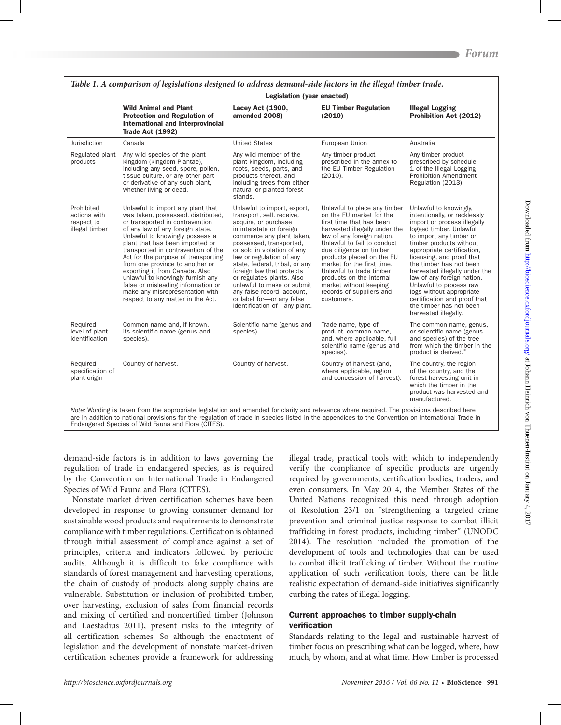|                                                            | Legislation (year enacted)                                                                                                                                                                                                                                                                                                                                                                                                                                                                                                 |                                                                                                                                                                                                                                                                                                                                                                                                                                                      |                                                                                                                                                                                                                                                                                                                                                                                                      |                                                                                                                                                                                                                                                                                                                                                                                                                                                                       |  |  |  |  |
|------------------------------------------------------------|----------------------------------------------------------------------------------------------------------------------------------------------------------------------------------------------------------------------------------------------------------------------------------------------------------------------------------------------------------------------------------------------------------------------------------------------------------------------------------------------------------------------------|------------------------------------------------------------------------------------------------------------------------------------------------------------------------------------------------------------------------------------------------------------------------------------------------------------------------------------------------------------------------------------------------------------------------------------------------------|------------------------------------------------------------------------------------------------------------------------------------------------------------------------------------------------------------------------------------------------------------------------------------------------------------------------------------------------------------------------------------------------------|-----------------------------------------------------------------------------------------------------------------------------------------------------------------------------------------------------------------------------------------------------------------------------------------------------------------------------------------------------------------------------------------------------------------------------------------------------------------------|--|--|--|--|
|                                                            | <b>Wild Animal and Plant</b><br><b>Protection and Regulation of</b><br>International and Interprovincial<br><b>Trade Act (1992)</b>                                                                                                                                                                                                                                                                                                                                                                                        | Lacey Act (1900,<br>amended 2008)                                                                                                                                                                                                                                                                                                                                                                                                                    | <b>EU Timber Regulation</b><br>(2010)                                                                                                                                                                                                                                                                                                                                                                | <b>Illegal Logging</b><br>Prohibition Act (2012)                                                                                                                                                                                                                                                                                                                                                                                                                      |  |  |  |  |
| Jurisdiction                                               | Canada                                                                                                                                                                                                                                                                                                                                                                                                                                                                                                                     | <b>United States</b>                                                                                                                                                                                                                                                                                                                                                                                                                                 | European Union                                                                                                                                                                                                                                                                                                                                                                                       | Australia                                                                                                                                                                                                                                                                                                                                                                                                                                                             |  |  |  |  |
| Regulated plant<br>products                                | Any wild species of the plant<br>kingdom (kingdom Plantae),<br>including any seed, spore, pollen,<br>tissue culture, or any other part<br>or derivative of any such plant,<br>whether living or dead.                                                                                                                                                                                                                                                                                                                      | Any wild member of the<br>plant kingdom, including<br>roots, seeds, parts, and<br>products thereof, and<br>including trees from either<br>natural or planted forest<br>stands.                                                                                                                                                                                                                                                                       | Any timber product<br>prescribed in the annex to<br>the EU Timber Regulation<br>(2010).                                                                                                                                                                                                                                                                                                              | Any timber product<br>prescribed by schedule<br>1 of the Illegal Logging<br><b>Prohibition Amendment</b><br>Regulation (2013).                                                                                                                                                                                                                                                                                                                                        |  |  |  |  |
| Prohibited<br>actions with<br>respect to<br>illegal timber | Unlawful to import any plant that<br>was taken, possessed, distributed,<br>or transported in contravention<br>of any law of any foreign state.<br>Unlawful to knowingly possess a<br>plant that has been imported or<br>transported in contravention of the<br>Act for the purpose of transporting<br>from one province to another or<br>exporting it from Canada. Also<br>unlawful to knowingly furnish any<br>false or misleading information or<br>make any misrepresentation with<br>respect to any matter in the Act. | Unlawful to import, export,<br>transport, sell, receive,<br>acquire, or purchase<br>in interstate or foreign<br>commerce any plant taken,<br>possessed, transported,<br>or sold in violation of any<br>law or regulation of any<br>state, federal, tribal, or any<br>foreign law that protects<br>or regulates plants. Also<br>unlawful to make or submit<br>any false record, account,<br>or label for-or any false<br>identification of-any plant. | Unlawful to place any timber<br>on the EU market for the<br>first time that has been<br>harvested illegally under the<br>law of any foreign nation.<br>Unlawful to fail to conduct<br>due diligence on timber<br>products placed on the EU<br>market for the first time.<br>Unlawful to trade timber<br>products on the internal<br>market without keeping<br>records of suppliers and<br>customers. | Unlawful to knowingly.<br>intentionally, or recklessly<br>import or process illegally<br>logged timber. Unlawful<br>to import any timber or<br>timber products without<br>appropriate certification,<br>licensing, and proof that<br>the timber has not been<br>harvested illegally under the<br>law of any foreign nation.<br>Unlawful to process raw<br>logs without appropriate<br>certification and proof that<br>the timber has not been<br>harvested illegally. |  |  |  |  |
| Required<br>level of plant<br>identification               | Common name and, if known,<br>its scientific name (genus and<br>species).                                                                                                                                                                                                                                                                                                                                                                                                                                                  | Scientific name (genus and<br>species).                                                                                                                                                                                                                                                                                                                                                                                                              | Trade name, type of<br>product, common name,<br>and, where applicable, full<br>scientific name (genus and<br>species).                                                                                                                                                                                                                                                                               | The common name, genus,<br>or scientific name (genus<br>and species) of the tree<br>from which the timber in the<br>product is derived. <sup>*</sup>                                                                                                                                                                                                                                                                                                                  |  |  |  |  |
| Required<br>specification of<br>plant origin               | Country of harvest.                                                                                                                                                                                                                                                                                                                                                                                                                                                                                                        | Country of harvest.                                                                                                                                                                                                                                                                                                                                                                                                                                  | Country of harvest (and,<br>where applicable, region<br>and concession of harvest).                                                                                                                                                                                                                                                                                                                  | The country, the region<br>of the country, and the<br>forest harvesting unit in<br>which the timber in the<br>product was harvested and<br>manufactured.                                                                                                                                                                                                                                                                                                              |  |  |  |  |

*Table 1. A comparison of legislations designed to address demand-side factors in the illegal timber trade.*

demand-side factors is in addition to laws governing the regulation of trade in endangered species, as is required by the Convention on International Trade in Endangered Species of Wild Fauna and Flora (CITES).

Nonstate market driven certification schemes have been developed in response to growing consumer demand for sustainable wood products and requirements to demonstrate compliance with timber regulations. Certification is obtained through initial assessment of compliance against a set of principles, criteria and indicators followed by periodic audits. Although it is difficult to fake compliance with standards of forest management and harvesting operations, the chain of custody of products along supply chains are vulnerable. Substitution or inclusion of prohibited timber, over harvesting, exclusion of sales from financial records and mixing of certified and noncertified timber (Johnson and Laestadius 2011), present risks to the integrity of all certification schemes. So although the enactment of legislation and the development of nonstate market-driven certification schemes provide a framework for addressing

illegal trade, practical tools with which to independently verify the compliance of specific products are urgently required by governments, certification bodies, traders, and even consumers. In May 2014, the Member States of the United Nations recognized this need through adoption of Resolution 23/1 on "strengthening a targeted crime prevention and criminal justice response to combat illicit trafficking in forest products, including timber" (UNODC 2014). The resolution included the promotion of the development of tools and technologies that can be used to combat illicit trafficking of timber. Without the routine application of such verification tools, there can be little realistic expectation of demand-side initiatives significantly curbing the rates of illegal logging.

# Current approaches to timber supply-chain verification

Standards relating to the legal and sustainable harvest of timber focus on prescribing what can be logged, where, how much, by whom, and at what time. How timber is processed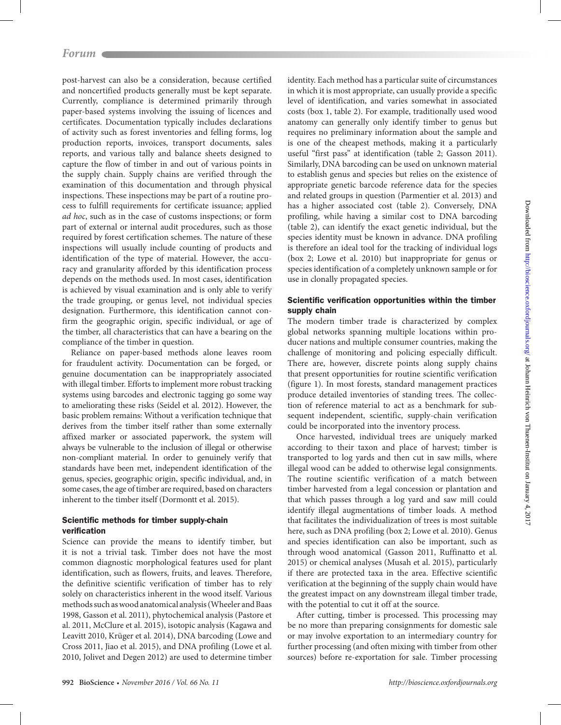post-harvest can also be a consideration, because certified and noncertified products generally must be kept separate. Currently, compliance is determined primarily through paper-based systems involving the issuing of licences and certificates. Documentation typically includes declarations of activity such as forest inventories and felling forms, log production reports, invoices, transport documents, sales reports, and various tally and balance sheets designed to capture the flow of timber in and out of various points in the supply chain. Supply chains are verified through the examination of this documentation and through physical inspections. These inspections may be part of a routine process to fulfill requirements for certificate issuance; applied *ad hoc*, such as in the case of customs inspections; or form part of external or internal audit procedures, such as those required by forest certification schemes. The nature of these inspections will usually include counting of products and identification of the type of material. However, the accuracy and granularity afforded by this identification process depends on the methods used. In most cases, identification is achieved by visual examination and is only able to verify the trade grouping, or genus level, not individual species designation. Furthermore, this identification cannot confirm the geographic origin, specific individual, or age of the timber, all characteristics that can have a bearing on the compliance of the timber in question.

Reliance on paper-based methods alone leaves room for fraudulent activity. Documentation can be forged, or genuine documentation can be inappropriately associated with illegal timber. Efforts to implement more robust tracking systems using barcodes and electronic tagging go some way to ameliorating these risks (Seidel et al. 2012). However, the basic problem remains: Without a verification technique that derives from the timber itself rather than some externally affixed marker or associated paperwork, the system will always be vulnerable to the inclusion of illegal or otherwise non-compliant material. In order to genuinely verify that standards have been met, independent identification of the genus, species, geographic origin, specific individual, and, in some cases, the age of timber are required, based on characters inherent to the timber itself (Dormontt et al. 2015).

# Scientific methods for timber supply-chain verification

Science can provide the means to identify timber, but it is not a trivial task. Timber does not have the most common diagnostic morphological features used for plant identification, such as flowers, fruits, and leaves. Therefore, the definitive scientific verification of timber has to rely solely on characteristics inherent in the wood itself. Various methods such as wood anatomical analysis (Wheeler and Baas 1998, Gasson et al. 2011), phytochemical analysis (Pastore et al. 2011, McClure et al. 2015), isotopic analysis (Kagawa and Leavitt 2010, Krüger et al. 2014), DNA barcoding (Lowe and Cross 2011, Jiao et al. 2015), and DNA profiling (Lowe et al. 2010, Jolivet and Degen 2012) are used to determine timber

identity. Each method has a particular suite of circumstances in which it is most appropriate, can usually provide a specific level of identification, and varies somewhat in associated costs (box 1, table 2). For example, traditionally used wood anatomy can generally only identify timber to genus but requires no preliminary information about the sample and is one of the cheapest methods, making it a particularly useful "first pass" at identification (table 2; Gasson 2011). Similarly, DNA barcoding can be used on unknown material to establish genus and species but relies on the existence of appropriate genetic barcode reference data for the species and related groups in question (Parmentier et al. 2013) and has a higher associated cost (table 2). Conversely, DNA profiling, while having a similar cost to DNA barcoding (table 2), can identify the exact genetic individual, but the species identity must be known in advance. DNA profiling is therefore an ideal tool for the tracking of individual logs (box 2; Lowe et al. 2010) but inappropriate for genus or species identification of a completely unknown sample or for use in clonally propagated species.

# Scientific verification opportunities within the timber supply chain

The modern timber trade is characterized by complex global networks spanning multiple locations within producer nations and multiple consumer countries, making the challenge of monitoring and policing especially difficult. There are, however, discrete points along supply chains that present opportunities for routine scientific verification (figure 1). In most forests, standard management practices produce detailed inventories of standing trees. The collection of reference material to act as a benchmark for subsequent independent, scientific, supply-chain verification could be incorporated into the inventory process.

Once harvested, individual trees are uniquely marked according to their taxon and place of harvest; timber is transported to log yards and then cut in saw mills, where illegal wood can be added to otherwise legal consignments. The routine scientific verification of a match between timber harvested from a legal concession or plantation and that which passes through a log yard and saw mill could identify illegal augmentations of timber loads. A method that facilitates the individualization of trees is most suitable here, such as DNA profiling (box 2; Lowe et al. 2010). Genus and species identification can also be important, such as through wood anatomical (Gasson 2011, Ruffinatto et al. 2015) or chemical analyses (Musah et al. 2015), particularly if there are protected taxa in the area. Effective scientific verification at the beginning of the supply chain would have the greatest impact on any downstream illegal timber trade, with the potential to cut it off at the source.

After cutting, timber is processed. This processing may be no more than preparing consignments for domestic sale or may involve exportation to an intermediary country for further processing (and often mixing with timber from other sources) before re-exportation for sale. Timber processing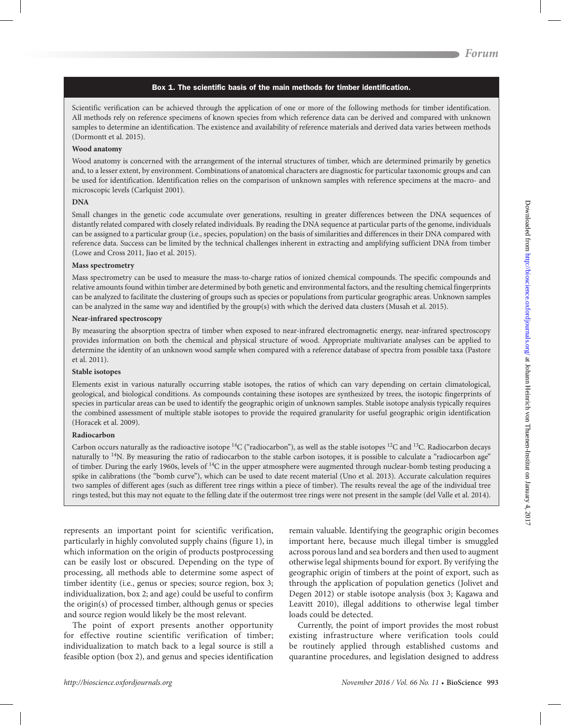## Box 1. The scientific basis of the main methods for timber identification.

Scientific verification can be achieved through the application of one or more of the following methods for timber identification. All methods rely on reference specimens of known species from which reference data can be derived and compared with unknown samples to determine an identification. The existence and availability of reference materials and derived data varies between methods (Dormontt et al. 2015).

#### **Wood anatomy**

Wood anatomy is concerned with the arrangement of the internal structures of timber, which are determined primarily by genetics and, to a lesser extent, by environment. Combinations of anatomical characters are diagnostic for particular taxonomic groups and can be used for identification. Identification relies on the comparison of unknown samples with reference specimens at the macro- and microscopic levels (Carlquist 2001).

#### **DNA**

Small changes in the genetic code accumulate over generations, resulting in greater differences between the DNA sequences of distantly related compared with closely related individuals. By reading the DNA sequence at particular parts of the genome, individuals can be assigned to a particular group (i.e., species, population) on the basis of similarities and differences in their DNA compared with reference data. Success can be limited by the technical challenges inherent in extracting and amplifying sufficient DNA from timber (Lowe and Cross 2011, Jiao et al. 2015).

#### **Mass spectrometry**

Mass spectrometry can be used to measure the mass-to-charge ratios of ionized chemical compounds. The specific compounds and relative amounts found within timber are determined by both genetic and environmental factors, and the resulting chemical fingerprints can be analyzed to facilitate the clustering of groups such as species or populations from particular geographic areas. Unknown samples can be analyzed in the same way and identified by the group(s) with which the derived data clusters (Musah et al. 2015).

#### **Near-infrared spectroscopy**

By measuring the absorption spectra of timber when exposed to near-infrared electromagnetic energy, near-infrared spectroscopy provides information on both the chemical and physical structure of wood. Appropriate multivariate analyses can be applied to determine the identity of an unknown wood sample when compared with a reference database of spectra from possible taxa (Pastore et al. 2011).

#### **Stable isotopes**

Elements exist in various naturally occurring stable isotopes, the ratios of which can vary depending on certain climatological, geological, and biological conditions. As compounds containing these isotopes are synthesized by trees, the isotopic fingerprints of species in particular areas can be used to identify the geographic origin of unknown samples. Stable isotope analysis typically requires the combined assessment of multiple stable isotopes to provide the required granularity for useful geographic origin identification (Horacek et al. 2009).

#### **Radiocarbon**

Carbon occurs naturally as the radioactive isotope  ${}^{14}C$  ("radiocarbon"), as well as the stable isotopes  ${}^{12}C$  and  ${}^{13}C$ . Radiocarbon decays naturally to <sup>14</sup>N. By measuring the ratio of radiocarbon to the stable carbon isotopes, it is possible to calculate a "radiocarbon age" of timber. During the early 1960s, levels of 14C in the upper atmosphere were augmented through nuclear-bomb testing producing a spike in calibrations (the "bomb curve"), which can be used to date recent material (Uno et al. 2013). Accurate calculation requires two samples of different ages (such as different tree rings within a piece of timber). The results reveal the age of the individual tree rings tested, but this may not equate to the felling date if the outermost tree rings were not present in the sample (del Valle et al. 2014).

represents an important point for scientific verification, particularly in highly convoluted supply chains (figure 1), in which information on the origin of products postprocessing can be easily lost or obscured. Depending on the type of processing, all methods able to determine some aspect of timber identity (i.e., genus or species; source region, box 3; individualization, box 2; and age) could be useful to confirm the origin(s) of processed timber, although genus or species and source region would likely be the most relevant.

The point of export presents another opportunity for effective routine scientific verification of timber; individualization to match back to a legal source is still a feasible option (box 2), and genus and species identification

remain valuable. Identifying the geographic origin becomes important here, because much illegal timber is smuggled across porous land and sea borders and then used to augment otherwise legal shipments bound for export. By verifying the geographic origin of timbers at the point of export, such as through the application of population genetics (Jolivet and Degen 2012) or stable isotope analysis (box 3; Kagawa and Leavitt 2010), illegal additions to otherwise legal timber loads could be detected.

Currently, the point of import provides the most robust existing infrastructure where verification tools could be routinely applied through established customs and quarantine procedures, and legislation designed to address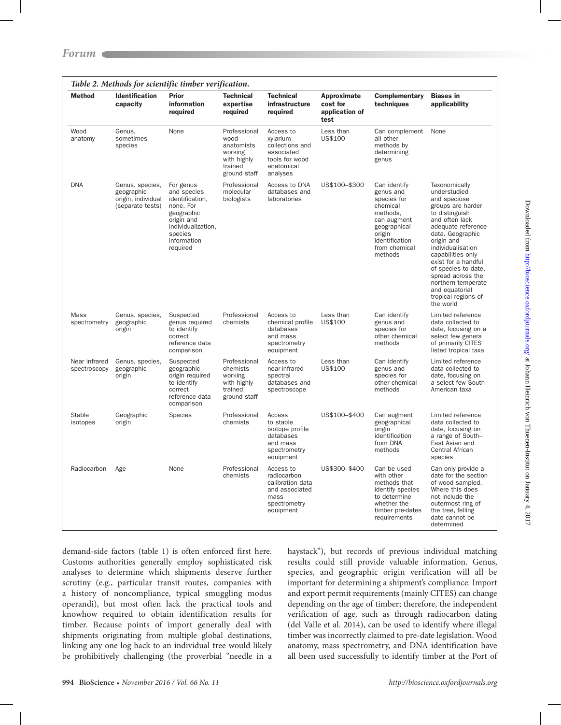| Table 2. Methods for scientific timber verification. |                                                                         |                                                                                                                                                  |                                                                                         |                                                                                                     |                                                   |                                                                                                                                                         |                                                                                                                                                                                                                                                                                                                                                         |  |  |
|------------------------------------------------------|-------------------------------------------------------------------------|--------------------------------------------------------------------------------------------------------------------------------------------------|-----------------------------------------------------------------------------------------|-----------------------------------------------------------------------------------------------------|---------------------------------------------------|---------------------------------------------------------------------------------------------------------------------------------------------------------|---------------------------------------------------------------------------------------------------------------------------------------------------------------------------------------------------------------------------------------------------------------------------------------------------------------------------------------------------------|--|--|
| <b>Method</b>                                        | <b>Identification</b><br>capacity                                       | <b>Prior</b><br>information<br>required                                                                                                          | <b>Technical</b><br>expertise<br>required                                               | <b>Technical</b><br>infrastructure<br>required                                                      | Approximate<br>cost for<br>application of<br>test | <b>Complementary</b><br>techniques                                                                                                                      | <b>Biases in</b><br>applicability                                                                                                                                                                                                                                                                                                                       |  |  |
| Wood<br>anatomy                                      | Genus,<br>sometimes<br>species                                          | None                                                                                                                                             | Professional<br>wood<br>anatomists<br>working<br>with highly<br>trained<br>ground staff | Access to<br>xylarium<br>collections and<br>associated<br>tools for wood<br>anatomical<br>analyses  | Less than<br>US\$100                              | Can complement<br>all other<br>methods by<br>determining<br>genus                                                                                       | None                                                                                                                                                                                                                                                                                                                                                    |  |  |
| <b>DNA</b>                                           | Genus, species,<br>geographic<br>origin, individual<br>(separate tests) | For genus<br>and species<br>identification,<br>none. For<br>geographic<br>origin and<br>individualization,<br>species<br>information<br>required | Professional<br>molecular<br>biologists                                                 | Access to DNA<br>databases and<br>laboratories                                                      | US\$100-\$300                                     | Can identify<br>genus and<br>species for<br>chemical<br>methods,<br>can augment<br>geographical<br>origin<br>identification<br>from chemical<br>methods | Taxonomically<br>understudied<br>and speciose<br>groups are harder<br>to distinguish<br>and often lack<br>adequate reference<br>data. Geographic<br>origin and<br>individualisation<br>capabilities only<br>exist for a handful<br>of species to date,<br>spread across the<br>northern temperate<br>and equatorial<br>tropical regions of<br>the world |  |  |
| Mass<br>spectrometry                                 | Genus, species,<br>geographic<br>origin                                 | Suspected<br>genus required<br>to identify<br>correct<br>reference data<br>comparison                                                            | Professional<br>chemists                                                                | Access to<br>chemical profile<br>databases<br>and mass<br>spectrometry<br>equipment                 | Less than<br>US\$100                              | Can identify<br>genus and<br>species for<br>other chemical<br>methods                                                                                   | Limited reference<br>data collected to<br>date, focusing on a<br>select few genera<br>of primarily CITES<br>listed tropical taxa                                                                                                                                                                                                                        |  |  |
| Near infrared<br>spectroscopy                        | Genus, species,<br>geographic<br>origin                                 | Suspected<br>geographic<br>origin required<br>to identify<br>correct<br>reference data<br>comparison                                             | Professional<br>chemists<br>working<br>with highly<br>trained<br>ground staff           | Access to<br>near-infrared<br>spectral<br>databases and<br>spectroscope                             | Less than<br>US\$100                              | Can identify<br>genus and<br>species for<br>other chemical<br>methods                                                                                   | Limited reference<br>data collected to<br>date, focusing on<br>a select few South<br>American taxa                                                                                                                                                                                                                                                      |  |  |
| Stable<br>isotopes                                   | Geographic<br>origin                                                    | <b>Species</b>                                                                                                                                   | Professional<br>chemists                                                                | Access<br>to stable<br>isotope profile<br>databases<br>and mass<br>spectrometry<br>equipment        | US\$100-\$400                                     | Can augment<br>geographical<br>origin<br>identification<br>from DNA<br>methods                                                                          | Limited reference<br>data collected to<br>date, focusing on<br>a range of South-<br>East Asian and<br>Central African<br>species                                                                                                                                                                                                                        |  |  |
| Radiocarbon                                          | Age                                                                     | None                                                                                                                                             | Professional<br>chemists                                                                | Access to<br>radiocarbon<br>calibration data<br>and associated<br>mass<br>spectrometry<br>equipment | US\$300-\$400                                     | Can be used<br>with other<br>methods that<br>identify species<br>to determine<br>whether the<br>timber pre-dates<br>requirements                        | Can only provide a<br>date for the section<br>of wood sampled.<br>Where this does<br>not include the<br>outermost ring of<br>the tree, felling<br>date cannot be<br>determined                                                                                                                                                                          |  |  |

demand-side factors (table 1) is often enforced first here. Customs authorities generally employ sophisticated risk analyses to determine which shipments deserve further scrutiny (e.g., particular transit routes, companies with a history of noncompliance, typical smuggling modus operandi), but most often lack the practical tools and knowhow required to obtain identification results for timber. Because points of import generally deal with shipments originating from multiple global destinations, linking any one log back to an individual tree would likely be prohibitively challenging (the proverbial "needle in a haystack"), but records of previous individual matching results could still provide valuable information. Genus, species, and geographic origin verification will all be important for determining a shipment's compliance. Import and export permit requirements (mainly CITES) can change depending on the age of timber; therefore, the independent verification of age, such as through radiocarbon dating (del Valle et al. 2014), can be used to identify where illegal timber was incorrectly claimed to pre-date legislation. Wood anatomy, mass spectrometry, and DNA identification have all been used successfully to identify timber at the Port of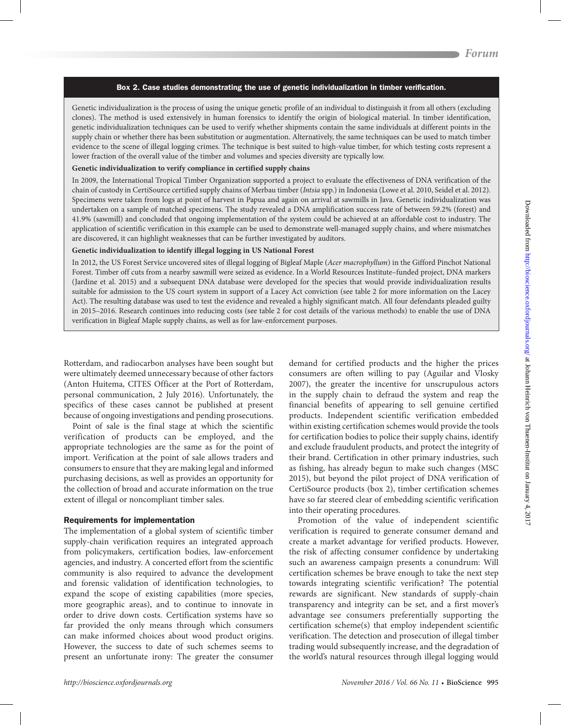Genetic individualization is the process of using the unique genetic profile of an individual to distinguish it from all others (excluding clones). The method is used extensively in human forensics to identify the origin of biological material. In timber identification, genetic individualization techniques can be used to verify whether shipments contain the same individuals at different points in the supply chain or whether there has been substitution or augmentation. Alternatively, the same techniques can be used to match timber evidence to the scene of illegal logging crimes. The technique is best suited to high-value timber, for which testing costs represent a lower fraction of the overall value of the timber and volumes and species diversity are typically low.

#### **Genetic individualization to verify compliance in certified supply chains**

In 2009, the International Tropical Timber Organization supported a project to evaluate the effectiveness of DNA verification of the chain of custody in CertiSource certified supply chains of Merbau timber (*Intsia* spp.) in Indonesia (Lowe et al. 2010, Seidel et al. 2012). Specimens were taken from logs at point of harvest in Papua and again on arrival at sawmills in Java. Genetic individualization was undertaken on a sample of matched specimens. The study revealed a DNA amplification success rate of between 59.2% (forest) and 41.9% (sawmill) and concluded that ongoing implementation of the system could be achieved at an affordable cost to industry. The application of scientific verification in this example can be used to demonstrate well-managed supply chains, and where mismatches are discovered, it can highlight weaknesses that can be further investigated by auditors.

#### **Genetic individualization to identify illegal logging in US National Forest**

In 2012, the US Forest Service uncovered sites of illegal logging of Bigleaf Maple (*Acer macrophyllum*) in the Gifford Pinchot National Forest. Timber off cuts from a nearby sawmill were seized as evidence. In a World Resources Institute–funded project, DNA markers (Jardine et al. 2015) and a subsequent DNA database were developed for the species that would provide individualization results suitable for admission to the US court system in support of a Lacey Act conviction (see table 2 for more information on the Lacey Act). The resulting database was used to test the evidence and revealed a highly significant match. All four defendants pleaded guilty in 2015–2016. Research continues into reducing costs (see table 2 for cost details of the various methods) to enable the use of DNA verification in Bigleaf Maple supply chains, as well as for law-enforcement purposes.

Rotterdam, and radiocarbon analyses have been sought but were ultimately deemed unnecessary because of other factors (Anton Huitema, CITES Officer at the Port of Rotterdam, personal communication, 2 July 2016). Unfortunately, the specifics of these cases cannot be published at present because of ongoing investigations and pending prosecutions.

Point of sale is the final stage at which the scientific verification of products can be employed, and the appropriate technologies are the same as for the point of import. Verification at the point of sale allows traders and consumers to ensure that they are making legal and informed purchasing decisions, as well as provides an opportunity for the collection of broad and accurate information on the true extent of illegal or noncompliant timber sales.

## Requirements for implementation

The implementation of a global system of scientific timber supply-chain verification requires an integrated approach from policymakers, certification bodies, law-enforcement agencies, and industry. A concerted effort from the scientific community is also required to advance the development and forensic validation of identification technologies, to expand the scope of existing capabilities (more species, more geographic areas), and to continue to innovate in order to drive down costs. Certification systems have so far provided the only means through which consumers can make informed choices about wood product origins. However, the success to date of such schemes seems to present an unfortunate irony: The greater the consumer

demand for certified products and the higher the prices consumers are often willing to pay (Aguilar and Vlosky 2007), the greater the incentive for unscrupulous actors in the supply chain to defraud the system and reap the financial benefits of appearing to sell genuine certified products. Independent scientific verification embedded within existing certification schemes would provide the tools for certification bodies to police their supply chains, identify and exclude fraudulent products, and protect the integrity of their brand. Certification in other primary industries, such as fishing, has already begun to make such changes (MSC 2015), but beyond the pilot project of DNA verification of CertiSource products (box 2), timber certification schemes have so far steered clear of embedding scientific verification into their operating procedures.

Promotion of the value of independent scientific verification is required to generate consumer demand and create a market advantage for verified products. However, the risk of affecting consumer confidence by undertaking such an awareness campaign presents a conundrum: Will certification schemes be brave enough to take the next step towards integrating scientific verification? The potential rewards are significant. New standards of supply-chain transparency and integrity can be set, and a first mover's advantage see consumers preferentially supporting the certification scheme(s) that employ independent scientific verification. The detection and prosecution of illegal timber trading would subsequently increase, and the degradation of the world's natural resources through illegal logging would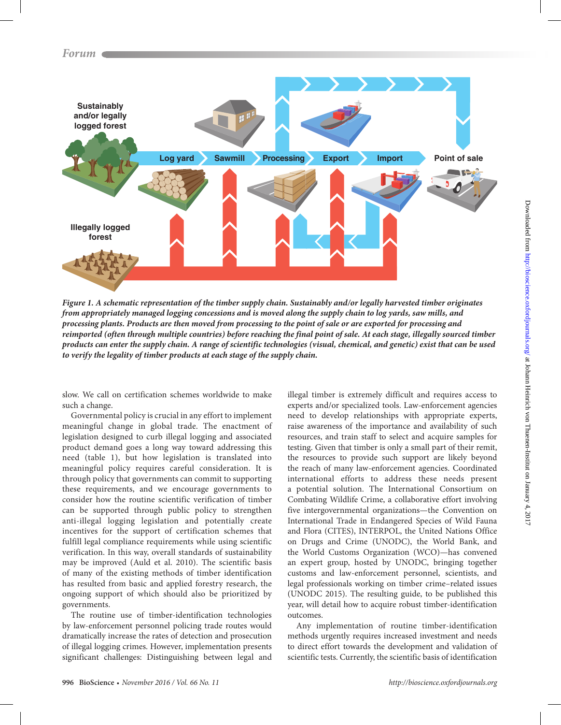

*Figure 1. A schematic representation of the timber supply chain. Sustainably and/or legally harvested timber originates from appropriately managed logging concessions and is moved along the supply chain to log yards, saw mills, and processing plants. Products are then moved from processing to the point of sale or are exported for processing and reimported (often through multiple countries) before reaching the final point of sale. At each stage, illegally sourced timber products can enter the supply chain. A range of scientific technologies (visual, chemical, and genetic) exist that can be used to verify the legality of timber products at each stage of the supply chain.*

slow. We call on certification schemes worldwide to make such a change.

Governmental policy is crucial in any effort to implement meaningful change in global trade. The enactment of legislation designed to curb illegal logging and associated product demand goes a long way toward addressing this need (table 1), but how legislation is translated into meaningful policy requires careful consideration. It is through policy that governments can commit to supporting these requirements, and we encourage governments to consider how the routine scientific verification of timber can be supported through public policy to strengthen anti-illegal logging legislation and potentially create incentives for the support of certification schemes that fulfill legal compliance requirements while using scientific verification. In this way, overall standards of sustainability may be improved (Auld et al. 2010). The scientific basis of many of the existing methods of timber identification has resulted from basic and applied forestry research, the ongoing support of which should also be prioritized by governments.

The routine use of timber-identification technologies by law-enforcement personnel policing trade routes would dramatically increase the rates of detection and prosecution of illegal logging crimes. However, implementation presents significant challenges: Distinguishing between legal and

illegal timber is extremely difficult and requires access to experts and/or specialized tools. Law-enforcement agencies need to develop relationships with appropriate experts, raise awareness of the importance and availability of such resources, and train staff to select and acquire samples for testing. Given that timber is only a small part of their remit, the resources to provide such support are likely beyond the reach of many law-enforcement agencies. Coordinated international efforts to address these needs present a potential solution. The International Consortium on Combating Wildlife Crime, a collaborative effort involving five intergovernmental organizations—the Convention on International Trade in Endangered Species of Wild Fauna and Flora (CITES), INTERPOL, the United Nations Office on Drugs and Crime (UNODC), the World Bank, and the World Customs Organization (WCO)—has convened an expert group, hosted by UNODC, bringing together customs and law-enforcement personnel, scientists, and legal professionals working on timber crime–related issues (UNODC 2015). The resulting guide, to be published this year, will detail how to acquire robust timber-identification outcomes.

Any implementation of routine timber-identification methods urgently requires increased investment and needs to direct effort towards the development and validation of scientific tests. Currently, the scientific basis of identification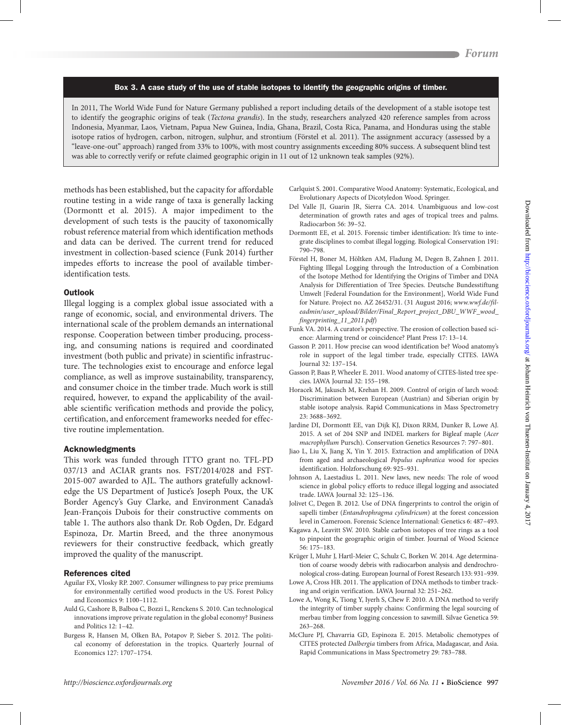#### Box 3. A case study of the use of stable isotopes to identify the geographic origins of timber.

In 2011, The World Wide Fund for Nature Germany published a report including details of the development of a stable isotope test to identify the geographic origins of teak (*Tectona grandis*). In the study, researchers analyzed 420 reference samples from across Indonesia, Myanmar, Laos, Vietnam, Papua New Guinea, India, Ghana, Brazil, Costa Rica, Panama, and Honduras using the stable isotope ratios of hydrogen, carbon, nitrogen, sulphur, and strontium (Förstel et al. 2011). The assignment accuracy (assessed by a "leave-one-out" approach) ranged from 33% to 100%, with most country assignments exceeding 80% success. A subsequent blind test was able to correctly verify or refute claimed geographic origin in 11 out of 12 unknown teak samples (92%).

methods has been established, but the capacity for affordable routine testing in a wide range of taxa is generally lacking (Dormontt et al. 2015). A major impediment to the development of such tests is the paucity of taxonomically robust reference material from which identification methods and data can be derived. The current trend for reduced investment in collection-based science (Funk 2014) further impedes efforts to increase the pool of available timberidentification tests.

## **Outlook**

Illegal logging is a complex global issue associated with a range of economic, social, and environmental drivers. The international scale of the problem demands an international response. Cooperation between timber producing, processing, and consuming nations is required and coordinated investment (both public and private) in scientific infrastructure. The technologies exist to encourage and enforce legal compliance, as well as improve sustainability, transparency, and consumer choice in the timber trade. Much work is still required, however, to expand the applicability of the available scientific verification methods and provide the policy, certification, and enforcement frameworks needed for effective routine implementation.

#### Acknowledgments

This work was funded through ITTO grant no. TFL-PD 037/13 and ACIAR grants nos. FST/2014/028 and FST-2015-007 awarded to AJL. The authors gratefully acknowledge the US Department of Justice's Joseph Poux, the UK Border Agency's Guy Clarke, and Environment Canada's Jean-François Dubois for their constructive comments on table 1. The authors also thank Dr. Rob Ogden, Dr. Edgard Espinoza, Dr. Martin Breed, and the three anonymous reviewers for their constructive feedback, which greatly improved the quality of the manuscript.

#### References cited

- Aguilar FX, Vlosky RP. 2007. Consumer willingness to pay price premiums for environmentally certified wood products in the US. Forest Policy and Economics 9: 1100–1112.
- Auld G, Cashore B, Balboa C, Bozzi L, Renckens S. 2010. Can technological innovations improve private regulation in the global economy? Business and Politics 12: 1–42.
- Burgess R, Hansen M, Olken BA, Potapov P, Sieber S. 2012. The political economy of deforestation in the tropics. Quarterly Journal of Economics 127: 1707–1754.
- Carlquist S. 2001. Comparative Wood Anatomy: Systematic, Ecological, and Evolutionary Aspects of Dicotyledon Wood. Springer.
- Del Valle JI, Guarin JR, Sierra CA. 2014. Unambiguous and low-cost determination of growth rates and ages of tropical trees and palms. Radiocarbon 56: 39–52.
- Dormontt EE, et al. 2015. Forensic timber identification: It's time to integrate disciplines to combat illegal logging. Biological Conservation 191: 790–798.
- Förstel H, Boner M, Höltken AM, Fladung M, Degen B, Zahnen J. 2011. Fighting Illegal Logging through the Introduction of a Combination of the Isotope Method for Identifying the Origins of Timber and DNA Analysis for Differentiation of Tree Species. Deutsche Bundesstiftung Umwelt [Federal Foundation for the Environment], World Wide Fund for Nature. Project no. AZ 26452/31. (31 August 2016; *www.wwf.de/fileadmin/user\_upload/Bilder/Final\_Report\_project\_DBU\_WWF\_wood\_ fingerprinting\_11\_2011.pdf*)
- Funk VA. 2014. A curator's perspective. The erosion of collection based science: Alarming trend or coincidence? Plant Press 17: 13–14.
- Gasson P. 2011. How precise can wood identification be? Wood anatomy's role in support of the legal timber trade, especially CITES. IAWA Journal 32: 137–154.
- Gasson P, Baas P, Wheeler E. 2011. Wood anatomy of CITES-listed tree species. IAWA Journal 32: 155–198.
- Horacek M, Jakusch M, Krehan H. 2009. Control of origin of larch wood: Discrimination between European (Austrian) and Siberian origin by stable isotope analysis. Rapid Communications in Mass Spectrometry 23: 3688–3692.
- Jardine DI, Dormontt EE, van Dijk KJ, Dixon RRM, Dunker B, Lowe AJ. 2015. A set of 204 SNP and INDEL markers for Bigleaf maple (*Acer macrophyllum* Pursch). Conservation Genetics Resources 7: 797–801.
- Jiao L, Liu X, Jiang X, Yin Y. 2015. Extraction and amplification of DNA from aged and archaeological *Populus euphratica* wood for species identification. Holzforschung 69: 925–931.
- Johnson A, Laestadius L. 2011. New laws, new needs: The role of wood science in global policy efforts to reduce illegal logging and associated trade. IAWA Journal 32: 125–136.
- Jolivet C, Degen B. 2012. Use of DNA fingerprints to control the origin of sapelli timber (*Entandrophragma cylindricum*) at the forest concession level in Cameroon. Forensic Science International: Genetics 6: 487–493.
- Kagawa A, Leavitt SW. 2010. Stable carbon isotopes of tree rings as a tool to pinpoint the geographic origin of timber. Journal of Wood Science 56: 175–183.
- Krüger I, Muhr J, Hartl-Meier C, Schulz C, Borken W. 2014. Age determination of coarse woody debris with radiocarbon analysis and dendrochronological cross-dating. European Journal of Forest Research 133: 931–939.
- Lowe A, Cross HB. 2011. The application of DNA methods to timber tracking and origin verification. IAWA Journal 32: 251–262.
- Lowe A, Wong K, Tiong Y, Iyerh S, Chew F. 2010. A DNA method to verify the integrity of timber supply chains: Confirming the legal sourcing of merbau timber from logging concession to sawmill. Silvae Genetica 59: 263–268.
- McClure PJ, Chavarria GD, Espinoza E. 2015. Metabolic chemotypes of CITES protected *Dalbergia* timbers from Africa, Madagascar, and Asia. Rapid Communications in Mass Spectrometry 29: 783–788.